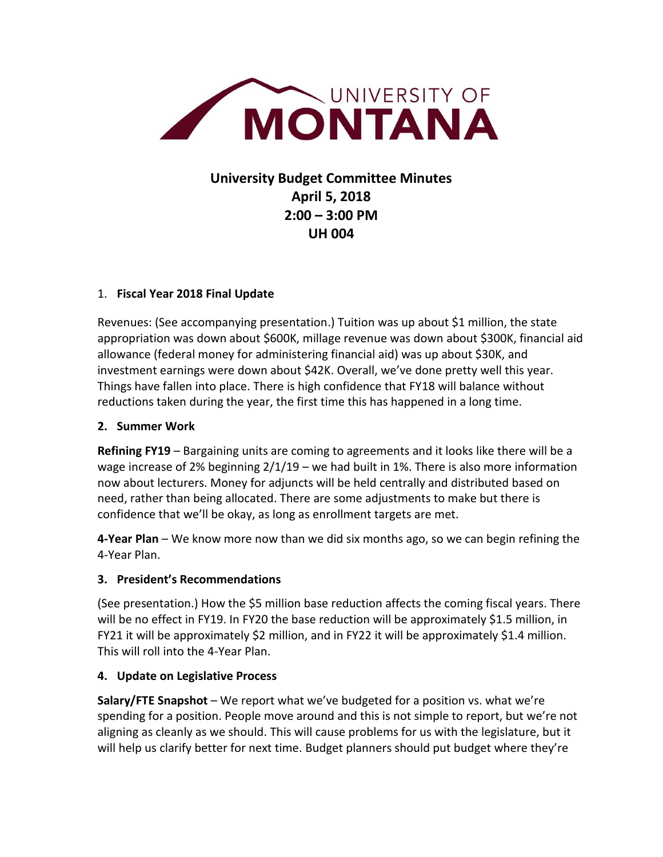

# **University Budget Committee Minutes April 5, 2018 2:00 – 3:00 PM UH 004**

## 1. **Fiscal Year 2018 Final Update**

Revenues: (See accompanying presentation.) Tuition was up about \$1 million, the state appropriation was down about \$600K, millage revenue was down about \$300K, financial aid allowance (federal money for administering financial aid) was up about \$30K, and investment earnings were down about \$42K. Overall, we've done pretty well this year. Things have fallen into place. There is high confidence that FY18 will balance without reductions taken during the year, the first time this has happened in a long time.

### **2. Summer Work**

**Refining FY19** – Bargaining units are coming to agreements and it looks like there will be a wage increase of 2% beginning  $2/1/19$  – we had built in 1%. There is also more information now about lecturers. Money for adjuncts will be held centrally and distributed based on need, rather than being allocated. There are some adjustments to make but there is confidence that we'll be okay, as long as enrollment targets are met.

**4-Year Plan** – We know more now than we did six months ago, so we can begin refining the 4-Year Plan.

# **3. President's Recommendations**

(See presentation.) How the \$5 million base reduction affects the coming fiscal years. There will be no effect in FY19. In FY20 the base reduction will be approximately \$1.5 million, in FY21 it will be approximately \$2 million, and in FY22 it will be approximately \$1.4 million. This will roll into the 4-Year Plan.

### **4. Update on Legislative Process**

**Salary/FTE Snapshot** – We report what we've budgeted for a position vs. what we're spending for a position. People move around and this is not simple to report, but we're not aligning as cleanly as we should. This will cause problems for us with the legislature, but it will help us clarify better for next time. Budget planners should put budget where they're